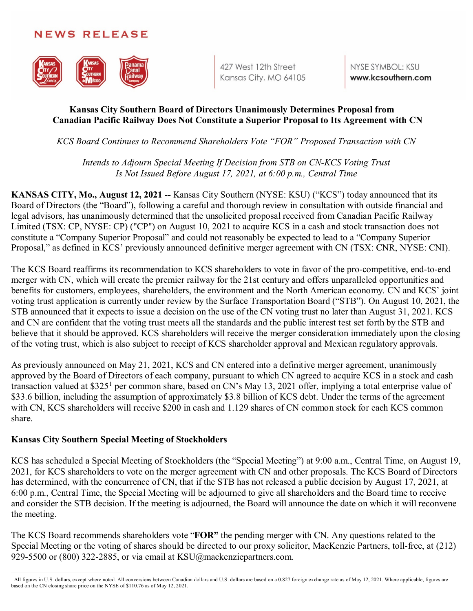# **NEWS RELEASE**



427 West 12th Street Kansas City, MO 64105 NYSE SYMBOL: KSU www.kcsouthern.com

### **Kansas City Southern Board of Directors Unanimously Determines Proposal from Canadian Pacific Railway Does Not Constitute a Superior Proposal to Its Agreement with CN**

*KCS Board Continues to Recommend Shareholders Vote "FOR" Proposed Transaction with CN*

*Intends to Adjourn Special Meeting If Decision from STB on CN-KCS Voting Trust Is Not Issued Before August 17, 2021, at 6:00 p.m., Central Time*

**KANSAS CITY, Mo., August 12, 2021 --** Kansas City Southern (NYSE: KSU) ("KCS") today announced that its Board of Directors (the "Board"), following a careful and thorough review in consultation with outside financial and legal advisors, has unanimously determined that the unsolicited proposal received from Canadian Pacific Railway Limited (TSX: CP, NYSE: CP) ("CP") on August 10, 2021 to acquire KCS in a cash and stock transaction does not constitute a "Company Superior Proposal" and could not reasonably be expected to lead to a "Company Superior Proposal," as defined in KCS' previously announced definitive merger agreement with CN (TSX: CNR, NYSE: CNI).

The KCS Board reaffirms its recommendation to KCS shareholders to vote in favor of the pro-competitive, end-to-end merger with CN, which will create the premier railway for the 21st century and offers unparalleled opportunities and benefits for customers, employees, shareholders, the environment and the North American economy. CN and KCS' joint voting trust application is currently under review by the Surface Transportation Board ("STB"). On August 10, 2021, the STB announced that it expects to issue a decision on the use of the CN voting trust no later than August 31, 2021. KCS and CN are confident that the voting trust meets all the standards and the public interest test set forth by the STB and believe that it should be approved. KCS shareholders will receive the merger consideration immediately upon the closing of the voting trust, which is also subject to receipt of KCS shareholder approval and Mexican regulatory approvals.

As previously announced on May 21, 2021, KCS and CN entered into a definitive merger agreement, unanimously approved by the Board of Directors of each company, pursuant to which CN agreed to acquire KCS in a stock and cash transaction valued at  $\$325^1$  $\$325^1$  per common share, based on CN's May 13, 2021 offer, implying a total enterprise value of \$33.6 billion, including the assumption of approximately \$3.8 billion of KCS debt. Under the terms of the agreement with CN, KCS shareholders will receive \$200 in cash and 1.129 shares of CN common stock for each KCS common share.

#### **Kansas City Southern Special Meeting of Stockholders**

KCS has scheduled a Special Meeting of Stockholders (the "Special Meeting") at 9:00 a.m., Central Time, on August 19, 2021, for KCS shareholders to vote on the merger agreement with CN and other proposals. The KCS Board of Directors has determined, with the concurrence of CN, that if the STB has not released a public decision by August 17, 2021, at 6:00 p.m., Central Time, the Special Meeting will be adjourned to give all shareholders and the Board time to receive and consider the STB decision. If the meeting is adjourned, the Board will announce the date on which it will reconvene the meeting.

The KCS Board recommends shareholders vote "**FOR"** the pending merger with CN. Any questions related to the Special Meeting or the voting of shares should be directed to our proxy solicitor, MacKenzie Partners, toll-free, at (212) 929-5500 or (800) 322-2885, or via email at KSU@mackenziepartners.com.

<span id="page-0-0"></span><sup>&</sup>lt;sup>1</sup> All figures in U.S. dollars, except where noted. All conversions between Canadian dollars and U.S. dollars are based on a 0.827 foreign exchange rate as of May 12, 2021. Where applicable, figures are based on the CN closing share price on the NYSE of \$110.76 as of May 12, 2021.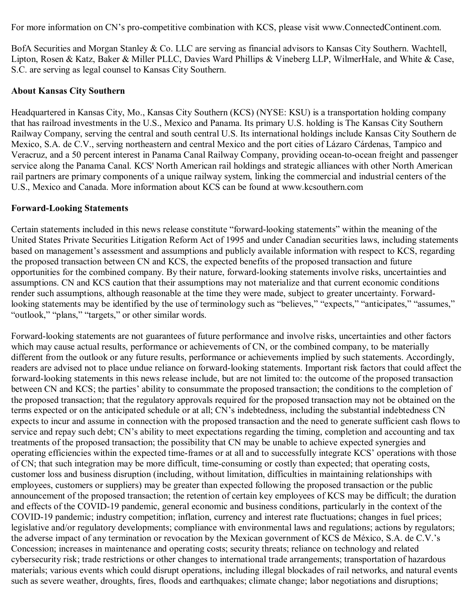For more information on CN's pro-competitive combination with KCS, please visit www.ConnectedContinent.com.

BofA Securities and Morgan Stanley & Co. LLC are serving as financial advisors to Kansas City Southern. Wachtell, Lipton, Rosen & Katz, Baker & Miller PLLC, Davies Ward Phillips & Vineberg LLP, WilmerHale, and White & Case, S.C. are serving as legal counsel to Kansas City Southern.

### **About Kansas City Southern**

Headquartered in Kansas City, Mo., Kansas City Southern (KCS) (NYSE: KSU) is a transportation holding company that has railroad investments in the U.S., Mexico and Panama. Its primary U.S. holding is The Kansas City Southern Railway Company, serving the central and south central U.S. Its international holdings include Kansas City Southern de Mexico, S.A. de C.V., serving northeastern and central Mexico and the port cities of Lázaro Cárdenas, Tampico and Veracruz, and a 50 percent interest in Panama Canal Railway Company, providing ocean-to-ocean freight and passenger service along the Panama Canal. KCS' North American rail holdings and strategic alliances with other North American rail partners are primary components of a unique railway system, linking the commercial and industrial centers of the U.S., Mexico and Canada. More information about KCS can be found at www.kcsouthern.com

### **Forward-Looking Statements**

Certain statements included in this news release constitute "forward-looking statements" within the meaning of the United States Private Securities Litigation Reform Act of 1995 and under Canadian securities laws, including statements based on management's assessment and assumptions and publicly available information with respect to KCS, regarding the proposed transaction between CN and KCS, the expected benefits of the proposed transaction and future opportunities for the combined company. By their nature, forward-looking statements involve risks, uncertainties and assumptions. CN and KCS caution that their assumptions may not materialize and that current economic conditions render such assumptions, although reasonable at the time they were made, subject to greater uncertainty. Forwardlooking statements may be identified by the use of terminology such as "believes," "expects," "anticipates," "assumes," "outlook," "plans," "targets," or other similar words.

Forward-looking statements are not guarantees of future performance and involve risks, uncertainties and other factors which may cause actual results, performance or achievements of CN, or the combined company, to be materially different from the outlook or any future results, performance or achievements implied by such statements. Accordingly, readers are advised not to place undue reliance on forward-looking statements. Important risk factors that could affect the forward-looking statements in this news release include, but are not limited to: the outcome of the proposed transaction between CN and KCS; the parties' ability to consummate the proposed transaction; the conditions to the completion of the proposed transaction; that the regulatory approvals required for the proposed transaction may not be obtained on the terms expected or on the anticipated schedule or at all; CN's indebtedness, including the substantial indebtedness CN expects to incur and assume in connection with the proposed transaction and the need to generate sufficient cash flows to service and repay such debt; CN's ability to meet expectations regarding the timing, completion and accounting and tax treatments of the proposed transaction; the possibility that CN may be unable to achieve expected synergies and operating efficiencies within the expected time-frames or at all and to successfully integrate KCS' operations with those of CN; that such integration may be more difficult, time-consuming or costly than expected; that operating costs, customer loss and business disruption (including, without limitation, difficulties in maintaining relationships with employees, customers or suppliers) may be greater than expected following the proposed transaction or the public announcement of the proposed transaction; the retention of certain key employees of KCS may be difficult; the duration and effects of the COVID-19 pandemic, general economic and business conditions, particularly in the context of the COVID-19 pandemic; industry competition; inflation, currency and interest rate fluctuations; changes in fuel prices; legislative and/or regulatory developments; compliance with environmental laws and regulations; actions by regulators; the adverse impact of any termination or revocation by the Mexican government of KCS de México, S.A. de C.V.'s Concession; increases in maintenance and operating costs; security threats; reliance on technology and related cybersecurity risk; trade restrictions or other changes to international trade arrangements; transportation of hazardous materials; various events which could disrupt operations, including illegal blockades of rail networks, and natural events such as severe weather, droughts, fires, floods and earthquakes; climate change; labor negotiations and disruptions;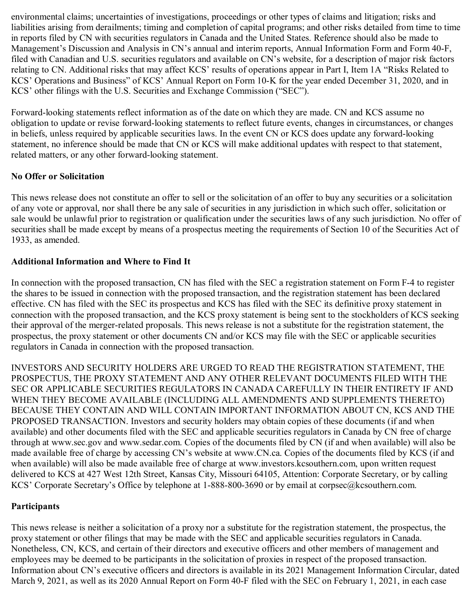environmental claims; uncertainties of investigations, proceedings or other types of claims and litigation; risks and liabilities arising from derailments; timing and completion of capital programs; and other risks detailed from time to time in reports filed by CN with securities regulators in Canada and the United States. Reference should also be made to Management's Discussion and Analysis in CN's annual and interim reports, Annual Information Form and Form 40-F, filed with Canadian and U.S. securities regulators and available on CN's website, for a description of major risk factors relating to CN. Additional risks that may affect KCS' results of operations appear in Part I, Item 1A "Risks Related to KCS' Operations and Business" of KCS' Annual Report on Form 10-K for the year ended December 31, 2020, and in KCS' other filings with the U.S. Securities and Exchange Commission ("SEC").

Forward-looking statements reflect information as of the date on which they are made. CN and KCS assume no obligation to update or revise forward-looking statements to reflect future events, changes in circumstances, or changes in beliefs, unless required by applicable securities laws. In the event CN or KCS does update any forward-looking statement, no inference should be made that CN or KCS will make additional updates with respect to that statement, related matters, or any other forward-looking statement.

### **No Offer or Solicitation**

This news release does not constitute an offer to sell or the solicitation of an offer to buy any securities or a solicitation of any vote or approval, nor shall there be any sale of securities in any jurisdiction in which such offer, solicitation or sale would be unlawful prior to registration or qualification under the securities laws of any such jurisdiction. No offer of securities shall be made except by means of a prospectus meeting the requirements of Section 10 of the Securities Act of 1933, as amended.

### **Additional Information and Where to Find It**

In connection with the proposed transaction, CN has filed with the SEC a registration statement on Form F-4 to register the shares to be issued in connection with the proposed transaction, and the registration statement has been declared effective. CN has filed with the SEC its prospectus and KCS has filed with the SEC its definitive proxy statement in connection with the proposed transaction, and the KCS proxy statement is being sent to the stockholders of KCS seeking their approval of the merger-related proposals. This news release is not a substitute for the registration statement, the prospectus, the proxy statement or other documents CN and/or KCS may file with the SEC or applicable securities regulators in Canada in connection with the proposed transaction.

INVESTORS AND SECURITY HOLDERS ARE URGED TO READ THE REGISTRATION STATEMENT, THE PROSPECTUS, THE PROXY STATEMENT AND ANY OTHER RELEVANT DOCUMENTS FILED WITH THE SEC OR APPLICABLE SECURITIES REGULATORS IN CANADA CAREFULLY IN THEIR ENTIRETY IF AND WHEN THEY BECOME AVAILABLE (INCLUDING ALL AMENDMENTS AND SUPPLEMENTS THERETO) BECAUSE THEY CONTAIN AND WILL CONTAIN IMPORTANT INFORMATION ABOUT CN, KCS AND THE PROPOSED TRANSACTION. Investors and security holders may obtain copies of these documents (if and when available) and other documents filed with the SEC and applicable securities regulators in Canada by CN free of charge through at www.sec.gov and www.sedar.com. Copies of the documents filed by CN (if and when available) will also be made available free of charge by accessing CN's website at www.CN.ca. Copies of the documents filed by KCS (if and when available) will also be made available free of charge at www.investors.kcsouthern.com, upon written request delivered to KCS at 427 West 12th Street, Kansas City, Missouri 64105, Attention: Corporate Secretary, or by calling KCS' Corporate Secretary's Office by telephone at 1-888-800-3690 or by email at corpsec@kcsouthern.com.

## **Participants**

This news release is neither a solicitation of a proxy nor a substitute for the registration statement, the prospectus, the proxy statement or other filings that may be made with the SEC and applicable securities regulators in Canada. Nonetheless, CN, KCS, and certain of their directors and executive officers and other members of management and employees may be deemed to be participants in the solicitation of proxies in respect of the proposed transaction. Information about CN's executive officers and directors is available in its 2021 Management Information Circular, dated March 9, 2021, as well as its 2020 Annual Report on Form 40-F filed with the SEC on February 1, 2021, in each case